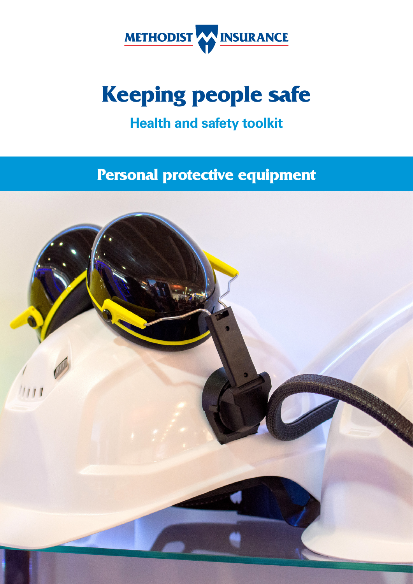

# **Keeping people safe**

# **Health and safety toolkit**

# **Personal protective equipment**

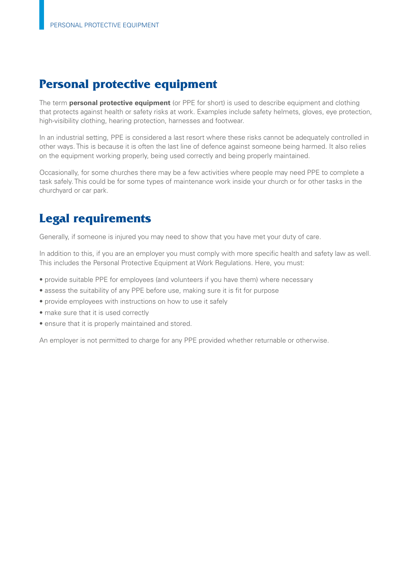# **Personal protective equipment**

The term **personal protective equipment** (or PPE for short) is used to describe equipment and clothing that protects against health or safety risks at work. Examples include safety helmets, gloves, eye protection, high-visibility clothing, hearing protection, harnesses and footwear.

In an industrial setting, PPE is considered a last resort where these risks cannot be adequately controlled in other ways. This is because it is often the last line of defence against someone being harmed. It also relies on the equipment working properly, being used correctly and being properly maintained.

Occasionally, for some churches there may be a few activities where people may need PPE to complete a task safely. This could be for some types of maintenance work inside your church or for other tasks in the churchyard or car park.

# **Legal requirements**

Generally, if someone is injured you may need to show that you have met your duty of care.

In addition to this, if you are an employer you must comply with more specific health and safety law as well. This includes the Personal Protective Equipment at Work Regulations. Here, you must:

- provide suitable PPE for employees (and volunteers if you have them) where necessary
- assess the suitability of any PPE before use, making sure it is fit for purpose
- provide employees with instructions on how to use it safely
- make sure that it is used correctly
- ensure that it is properly maintained and stored.

An employer is not permitted to charge for any PPE provided whether returnable or otherwise.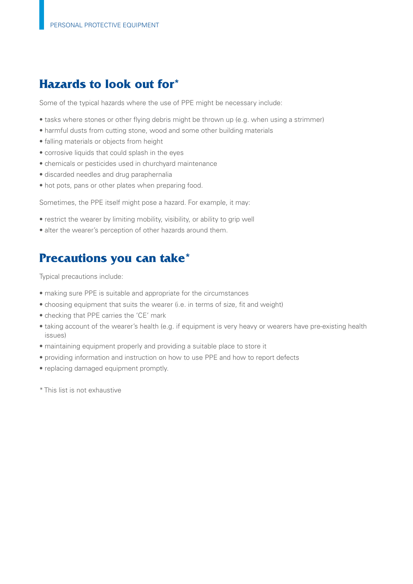## **Hazards to look out for\***

Some of the typical hazards where the use of PPE might be necessary include:

- tasks where stones or other fying debris might be thrown up (e.g. when using a strimmer)
- harmful dusts from cutting stone, wood and some other building materials
- falling materials or objects from height
- corrosive liquids that could splash in the eyes
- chemicals or pesticides used in churchyard maintenance
- discarded needles and drug paraphernalia
- hot pots, pans or other plates when preparing food.

Sometimes, the PPE itself might pose a hazard. For example, it may:

- restrict the wearer by limiting mobility, visibility, or ability to grip well
- alter the wearer's perception of other hazards around them.

## **Precautions you can take\***

Typical precautions include:

- making sure PPE is suitable and appropriate for the circumstances
- choosing equipment that suits the wearer (i.e. in terms of size, fit and weight)
- checking that PPE carries the 'CE' mark
- taking account of the wearer's health (e.g. if equipment is very heavy or wearers have pre-existing health issues)
- maintaining equipment properly and providing a suitable place to store it
- providing information and instruction on how to use PPE and how to report defects
- replacing damaged equipment promptly.
- \* This list is not exhaustive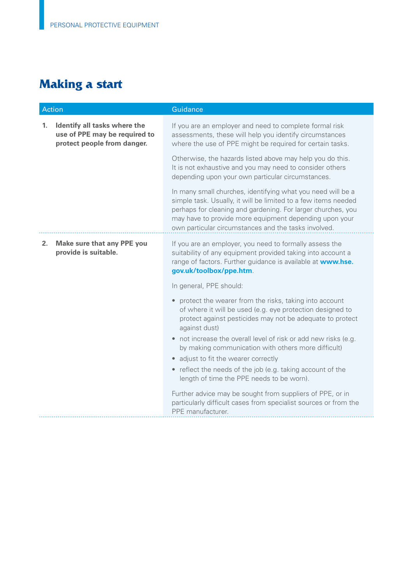# **Making a start**

| Action |                                                                                              | Guidance                                                                                                                                                                                                                                                                                                        |
|--------|----------------------------------------------------------------------------------------------|-----------------------------------------------------------------------------------------------------------------------------------------------------------------------------------------------------------------------------------------------------------------------------------------------------------------|
| 1.     | Identify all tasks where the<br>use of PPE may be required to<br>protect people from danger. | If you are an employer and need to complete formal risk<br>assessments, these will help you identify circumstances<br>where the use of PPE might be required for certain tasks.                                                                                                                                 |
|        |                                                                                              | Otherwise, the hazards listed above may help you do this.<br>It is not exhaustive and you may need to consider others<br>depending upon your own particular circumstances.                                                                                                                                      |
|        |                                                                                              | In many small churches, identifying what you need will be a<br>simple task. Usually, it will be limited to a few items needed<br>perhaps for cleaning and gardening. For larger churches, you<br>may have to provide more equipment depending upon your<br>own particular circumstances and the tasks involved. |
| 2.     | Make sure that any PPE you<br>provide is suitable.                                           | If you are an employer, you need to formally assess the<br>suitability of any equipment provided taking into account a<br>range of factors. Further guidance is available at www.hse.<br>gov.uk/toolbox/ppe.htm.                                                                                                |
|        |                                                                                              | In general, PPE should:                                                                                                                                                                                                                                                                                         |
|        |                                                                                              | protect the wearer from the risks, taking into account<br>$\bullet$<br>of where it will be used (e.g. eye protection designed to<br>protect against pesticides may not be adequate to protect<br>against dust)                                                                                                  |
|        |                                                                                              | • not increase the overall level of risk or add new risks (e.g.<br>by making communication with others more difficult)                                                                                                                                                                                          |
|        |                                                                                              | adjust to fit the wearer correctly                                                                                                                                                                                                                                                                              |
|        |                                                                                              | • reflect the needs of the job (e.g. taking account of the<br>length of time the PPE needs to be worn).                                                                                                                                                                                                         |
|        |                                                                                              | Further advice may be sought from suppliers of PPE, or in<br>particularly difficult cases from specialist sources or from the<br>PPE manufacturer.                                                                                                                                                              |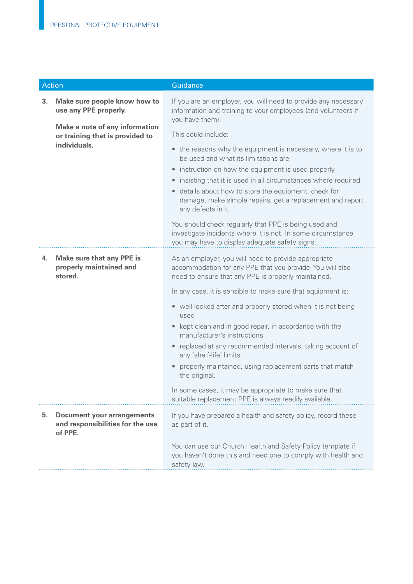| <b>Action</b> |                                                                                  | Guidance                                                                                                                                                                 |
|---------------|----------------------------------------------------------------------------------|--------------------------------------------------------------------------------------------------------------------------------------------------------------------------|
| 3.            | Make sure people know how to<br>use any PPE properly.                            | If you are an employer, you will need to provide any necessary<br>information and training to your employees (and volunteers if<br>you have them).                       |
|               | <b>Make a note of any information</b><br>or training that is provided to         | This could include:                                                                                                                                                      |
|               | individuals.                                                                     | • the reasons why the equipment is necessary, where it is to<br>be used and what its limitations are<br>instruction on how the equipment is used properly<br>$\bullet$   |
|               |                                                                                  | insisting that it is used in all circumstances where required<br>$\bullet$                                                                                               |
|               |                                                                                  | · details about how to store the equipment, check for<br>damage, make simple repairs, get a replacement and report<br>any defects in it.                                 |
|               |                                                                                  | You should check regularly that PPE is being used and<br>investigate incidents where it is not. In some circumstance,<br>you may have to display adequate safety signs.  |
| 4.            | <b>Make sure that any PPE is</b><br>properly maintained and<br>stored.           | As an employer, you will need to provide appropriate<br>accommodation for any PPE that you provide. You will also<br>need to ensure that any PPE is properly maintained. |
|               |                                                                                  | In any case, it is sensible to make sure that equipment is:                                                                                                              |
|               |                                                                                  | • well looked after and properly stored when it is not being<br>used                                                                                                     |
|               |                                                                                  | • kept clean and in good repair, in accordance with the<br>manufacturer's instructions                                                                                   |
|               |                                                                                  | • replaced at any recommended intervals, taking account of<br>any 'shelf-life' limits                                                                                    |
|               |                                                                                  | properly maintained, using replacement parts that match<br>the original.                                                                                                 |
|               |                                                                                  | In some cases, it may be appropriate to make sure that<br>suitable replacement PPE is always readily available.                                                          |
| 5.            | <b>Document your arrangements</b><br>and responsibilities for the use<br>of PPE. | If you have prepared a health and safety policy, record these<br>as part of it.                                                                                          |
|               |                                                                                  | You can use our Church Health and Safety Policy template if<br>you haven't done this and need one to comply with health and<br>safety law.                               |